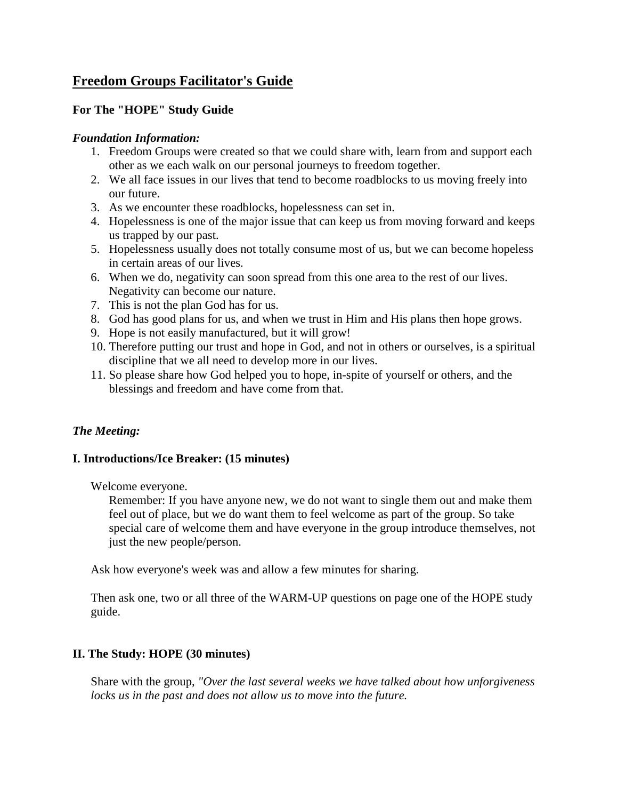# **Freedom Groups Facilitator's Guide**

## **For The "HOPE" Study Guide**

#### *Foundation Information:*

- 1. Freedom Groups were created so that we could share with, learn from and support each other as we each walk on our personal journeys to freedom together.
- 2. We all face issues in our lives that tend to become roadblocks to us moving freely into our future.
- 3. As we encounter these roadblocks, hopelessness can set in.
- 4. Hopelessness is one of the major issue that can keep us from moving forward and keeps us trapped by our past.
- 5. Hopelessness usually does not totally consume most of us, but we can become hopeless in certain areas of our lives.
- 6. When we do, negativity can soon spread from this one area to the rest of our lives. Negativity can become our nature.
- 7. This is not the plan God has for us.
- 8. God has good plans for us, and when we trust in Him and His plans then hope grows.
- 9. Hope is not easily manufactured, but it will grow!
- 10. Therefore putting our trust and hope in God, and not in others or ourselves, is a spiritual discipline that we all need to develop more in our lives.
- 11. So please share how God helped you to hope, in-spite of yourself or others, and the blessings and freedom and have come from that.

## *The Meeting:*

## **I. Introductions/Ice Breaker: (15 minutes)**

Welcome everyone.

Remember: If you have anyone new, we do not want to single them out and make them feel out of place, but we do want them to feel welcome as part of the group. So take special care of welcome them and have everyone in the group introduce themselves, not just the new people/person.

Ask how everyone's week was and allow a few minutes for sharing.

Then ask one, two or all three of the WARM-UP questions on page one of the HOPE study guide.

## **II. The Study: HOPE (30 minutes)**

Share with the group, *"Over the last several weeks we have talked about how unforgiveness*  locks us in the past and does not allow us to move into the future.